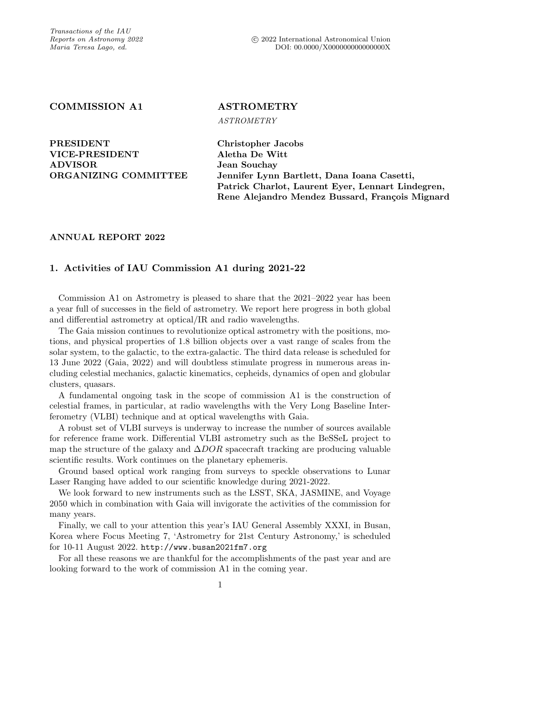# COMMISSION A1 ASTROMETRY

ASTROMETRY

PRESIDENT Christopher Jacobs VICE-PRESIDENT Aletha De Witt ADVISOR Jean Souchay

ORGANIZING COMMITTEE Jennifer Lynn Bartlett, Dana Ioana Casetti, Patrick Charlot, Laurent Eyer, Lennart Lindegren, Rene Alejandro Mendez Bussard, François Mignard

## ANNUAL REPORT 2022

## 1. Activities of IAU Commission A1 during 2021-22

Commission A1 on Astrometry is pleased to share that the 2021–2022 year has been a year full of successes in the field of astrometry. We report here progress in both global and differential astrometry at optical/IR and radio wavelengths.

The Gaia mission continues to revolutionize optical astrometry with the positions, motions, and physical properties of 1.8 billion objects over a vast range of scales from the solar system, to the galactic, to the extra-galactic. The third data release is scheduled for 13 June 2022 (Gaia, 2022) and will doubtless stimulate progress in numerous areas including celestial mechanics, galactic kinematics, cepheids, dynamics of open and globular clusters, quasars.

A fundamental ongoing task in the scope of commission A1 is the construction of celestial frames, in particular, at radio wavelengths with the Very Long Baseline Interferometry (VLBI) technique and at optical wavelengths with Gaia.

A robust set of VLBI surveys is underway to increase the number of sources available for reference frame work. Differential VLBI astrometry such as the BeSSeL project to map the structure of the galaxy and  $\Delta DOR$  spacecraft tracking are producing valuable scientific results. Work continues on the planetary ephemeris.

Ground based optical work ranging from surveys to speckle observations to Lunar Laser Ranging have added to our scientific knowledge during 2021-2022.

We look forward to new instruments such as the LSST, SKA, JASMINE, and Voyage 2050 which in combination with Gaia will invigorate the activities of the commission for many years.

Finally, we call to your attention this year's IAU General Assembly XXXI, in Busan, Korea where Focus Meeting 7, 'Astrometry for 21st Century Astronomy,' is scheduled for 10-11 August 2022. <http://www.busan2021fm7.org>

For all these reasons we are thankful for the accomplishments of the past year and are looking forward to the work of commission A1 in the coming year.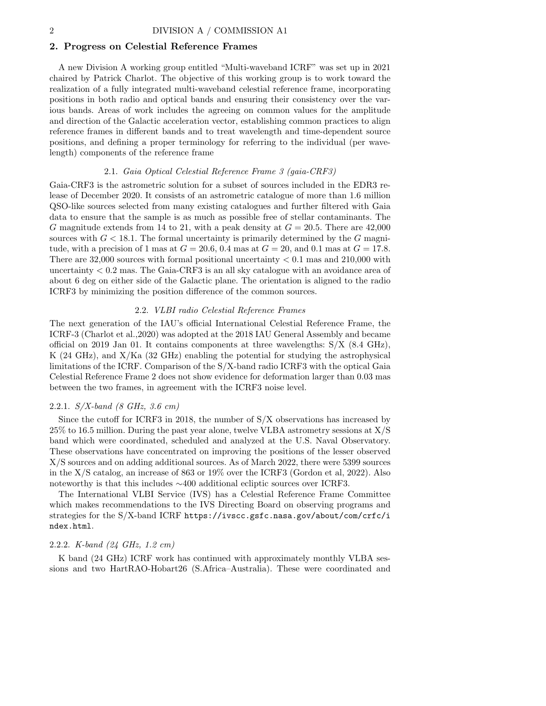## 2. Progress on Celestial Reference Frames

A new Division A working group entitled "Multi-waveband ICRF" was set up in 2021 chaired by Patrick Charlot. The objective of this working group is to work toward the realization of a fully integrated multi-waveband celestial reference frame, incorporating positions in both radio and optical bands and ensuring their consistency over the various bands. Areas of work includes the agreeing on common values for the amplitude and direction of the Galactic acceleration vector, establishing common practices to align reference frames in different bands and to treat wavelength and time-dependent source positions, and defining a proper terminology for referring to the individual (per wavelength) components of the reference frame

## 2.1. Gaia Optical Celestial Reference Frame 3 (gaia-CRF3)

Gaia-CRF3 is the astrometric solution for a subset of sources included in the EDR3 release of December 2020. It consists of an astrometric catalogue of more than 1.6 million QSO-like sources selected from many existing catalogues and further filtered with Gaia data to ensure that the sample is as much as possible free of stellar contaminants. The G magnitude extends from 14 to 21, with a peak density at  $G = 20.5$ . There are 42,000 sources with  $G < 18.1$ . The formal uncertainty is primarily determined by the G magnitude, with a precision of 1 mas at  $G = 20.6$ , 0.4 mas at  $G = 20$ , and 0.1 mas at  $G = 17.8$ . There are  $32,000$  sources with formal positional uncertainty  $< 0.1$  mas and  $210,000$  with uncertainty < 0.2 mas. The Gaia-CRF3 is an all sky catalogue with an avoidance area of about 6 deg on either side of the Galactic plane. The orientation is aligned to the radio ICRF3 by minimizing the position difference of the common sources.

## 2.2. VLBI radio Celestial Reference Frames

The next generation of the IAU's official International Celestial Reference Frame, the ICRF-3 (Charlot et al.,2020) was adopted at the 2018 IAU General Assembly and became official on 2019 Jan 01. It contains components at three wavelengths:  $S/X$  (8.4 GHz), K (24 GHz), and X/Ka (32 GHz) enabling the potential for studying the astrophysical limitations of the ICRF. Comparison of the S/X-band radio ICRF3 with the optical Gaia Celestial Reference Frame 2 does not show evidence for deformation larger than 0.03 mas between the two frames, in agreement with the ICRF3 noise level.

## 2.2.1. S/X-band (8 GHz, 3.6 cm)

Since the cutoff for ICRF3 in 2018, the number of S/X observations has increased by 25% to 16.5 million. During the past year alone, twelve VLBA astrometry sessions at X/S band which were coordinated, scheduled and analyzed at the U.S. Naval Observatory. These observations have concentrated on improving the positions of the lesser observed X/S sources and on adding additional sources. As of March 2022, there were 5399 sources in the X/S catalog, an increase of 863 or 19% over the ICRF3 (Gordon et al, 2022). Also noteworthy is that this includes ∼400 additional ecliptic sources over ICRF3.

The International VLBI Service (IVS) has a Celestial Reference Frame Committee which makes recommendations to the IVS Directing Board on observing programs and strategies for the S/X-band ICRF [https://ivscc.gsfc.nasa.gov/about/com/crfc/i](https://ivscc.gsfc.nasa.gov/about/com/crfc/index.html) [ndex.html](https://ivscc.gsfc.nasa.gov/about/com/crfc/index.html).

## 2.2.2. K-band (24 GHz, 1.2 cm)

K band (24 GHz) ICRF work has continued with approximately monthly VLBA sessions and two HartRAO-Hobart26 (S.Africa–Australia). These were coordinated and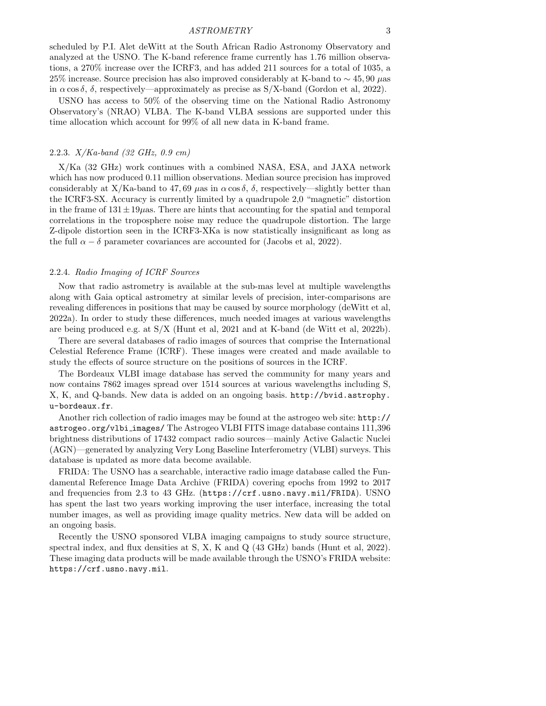#### ASTROMETRY 3

scheduled by P.I. Alet deWitt at the South African Radio Astronomy Observatory and analyzed at the USNO. The K-band reference frame currently has 1.76 million observations, a 270% increase over the ICRF3, and has added 211 sources for a total of 1035, a 25% increase. Source precision has also improved considerably at K-band to  $\sim$  45, 90  $\mu$ as in  $\alpha \cos \delta$ ,  $\delta$ , respectively—approximately as precise as S/X-band (Gordon et al, 2022).

USNO has access to 50% of the observing time on the National Radio Astronomy Observatory's (NRAO) VLBA. The K-band VLBA sessions are supported under this time allocation which account for 99% of all new data in K-band frame.

## 2.2.3. X/Ka-band (32 GHz, 0.9 cm)

X/Ka (32 GHz) work continues with a combined NASA, ESA, and JAXA network which has now produced 0.11 million observations. Median source precision has improved considerably at X/Ka-band to 47, 69  $\mu$ as in  $\alpha$  cos  $\delta$ ,  $\delta$ , respectively—slightly better than the ICRF3-SX. Accuracy is currently limited by a quadrupole 2,0 "magnetic" distortion in the frame of  $131 \pm 19 \mu$ as. There are hints that accounting for the spatial and temporal correlations in the troposphere noise may reduce the quadrupole distortion. The large Z-dipole distortion seen in the ICRF3-XKa is now statistically insignificant as long as the full  $\alpha - \delta$  parameter covariances are accounted for (Jacobs et al, 2022).

## 2.2.4. Radio Imaging of ICRF Sources

Now that radio astrometry is available at the sub-mas level at multiple wavelengths along with Gaia optical astrometry at similar levels of precision, inter-comparisons are revealing differences in positions that may be caused by source morphology (deWitt et al, 2022a). In order to study these differences, much needed images at various wavelengths are being produced e.g. at S/X (Hunt et al, 2021 and at K-band (de Witt et al, 2022b).

There are several databases of radio images of sources that comprise the International Celestial Reference Frame (ICRF). These images were created and made available to study the effects of source structure on the positions of sources in the ICRF.

The Bordeaux VLBI image database has served the community for many years and now contains 7862 images spread over 1514 sources at various wavelengths including S, X, K, and Q-bands. New data is added on an ongoing basis. [http://bvid.astrophy.](http://bvid.astrophy.u-bordeaux.fr) [u-bordeaux.fr](http://bvid.astrophy.u-bordeaux.fr).

Another rich collection of radio images may be found at the astrogeo web site: [http://](http://astrogeo.org/vlbi_images/) [astrogeo.org/vlbi](http://astrogeo.org/vlbi_images/) images/ The Astrogeo VLBI FITS image database contains 111,396 brightness distributions of 17432 compact radio sources—mainly Active Galactic Nuclei (AGN)—generated by analyzing Very Long Baseline Interferometry (VLBI) surveys. This database is updated as more data become available.

FRIDA: The USNO has a searchable, interactive radio image database called the Fundamental Reference Image Data Archive (FRIDA) covering epochs from 1992 to 2017 and frequencies from 2.3 to 43 GHz. (<https://crf.usno.navy.mil/FRIDA>). USNO has spent the last two years working improving the user interface, increasing the total number images, as well as providing image quality metrics. New data will be added on an ongoing basis.

Recently the USNO sponsored VLBA imaging campaigns to study source structure, spectral index, and flux densities at S, X, K and Q (43 GHz) bands (Hunt et al, 2022). These imaging data products will be made available through the USNO's FRIDA website: <https://crf.usno.navy.mil>.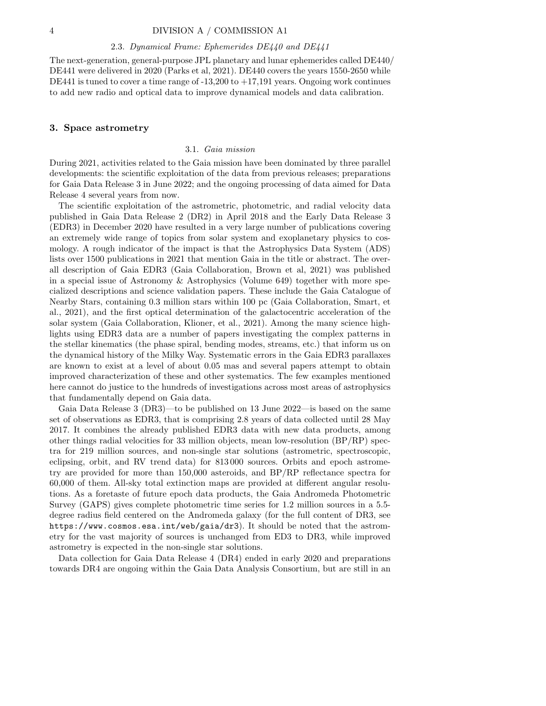## 4 DIVISION A / COMMISSION A1

#### 2.3. Dynamical Frame: Ephemerides DE440 and DE441

The next-generation, general-purpose JPL planetary and lunar ephemerides called DE440/ DE441 were delivered in 2020 (Parks et al, 2021). DE440 covers the years 1550-2650 while DE441 is tuned to cover a time range of  $-13,200$  to  $+17,191$  years. Ongoing work continues to add new radio and optical data to improve dynamical models and data calibration.

## 3. Space astrometry

#### 3.1. Gaia mission

During 2021, activities related to the Gaia mission have been dominated by three parallel developments: the scientific exploitation of the data from previous releases; preparations for Gaia Data Release 3 in June 2022; and the ongoing processing of data aimed for Data Release 4 several years from now.

The scientific exploitation of the astrometric, photometric, and radial velocity data published in Gaia Data Release 2 (DR2) in April 2018 and the Early Data Release 3 (EDR3) in December 2020 have resulted in a very large number of publications covering an extremely wide range of topics from solar system and exoplanetary physics to cosmology. A rough indicator of the impact is that the Astrophysics Data System (ADS) lists over 1500 publications in 2021 that mention Gaia in the title or abstract. The overall description of Gaia EDR3 (Gaia Collaboration, Brown et al, 2021) was published in a special issue of Astronomy & Astrophysics (Volume 649) together with more specialized descriptions and science validation papers. These include the Gaia Catalogue of Nearby Stars, containing 0.3 million stars within 100 pc (Gaia Collaboration, Smart, et al., 2021), and the first optical determination of the galactocentric acceleration of the solar system (Gaia Collaboration, Klioner, et al., 2021). Among the many science highlights using EDR3 data are a number of papers investigating the complex patterns in the stellar kinematics (the phase spiral, bending modes, streams, etc.) that inform us on the dynamical history of the Milky Way. Systematic errors in the Gaia EDR3 parallaxes are known to exist at a level of about 0.05 mas and several papers attempt to obtain improved characterization of these and other systematics. The few examples mentioned here cannot do justice to the hundreds of investigations across most areas of astrophysics that fundamentally depend on Gaia data.

Gaia Data Release 3 (DR3)—to be published on 13 June 2022—is based on the same set of observations as EDR3, that is comprising 2.8 years of data collected until 28 May 2017. It combines the already published EDR3 data with new data products, among other things radial velocities for 33 million objects, mean low-resolution (BP/RP) spectra for 219 million sources, and non-single star solutions (astrometric, spectroscopic, eclipsing, orbit, and RV trend data) for 813 000 sources. Orbits and epoch astrometry are provided for more than 150,000 asteroids, and BP/RP reflectance spectra for 60,000 of them. All-sky total extinction maps are provided at different angular resolutions. As a foretaste of future epoch data products, the Gaia Andromeda Photometric Survey (GAPS) gives complete photometric time series for 1.2 million sources in a 5.5 degree radius field centered on the Andromeda galaxy (for the full content of DR3, see <https://www.cosmos.esa.int/web/gaia/dr3>). It should be noted that the astrometry for the vast majority of sources is unchanged from ED3 to DR3, while improved astrometry is expected in the non-single star solutions.

Data collection for Gaia Data Release 4 (DR4) ended in early 2020 and preparations towards DR4 are ongoing within the Gaia Data Analysis Consortium, but are still in an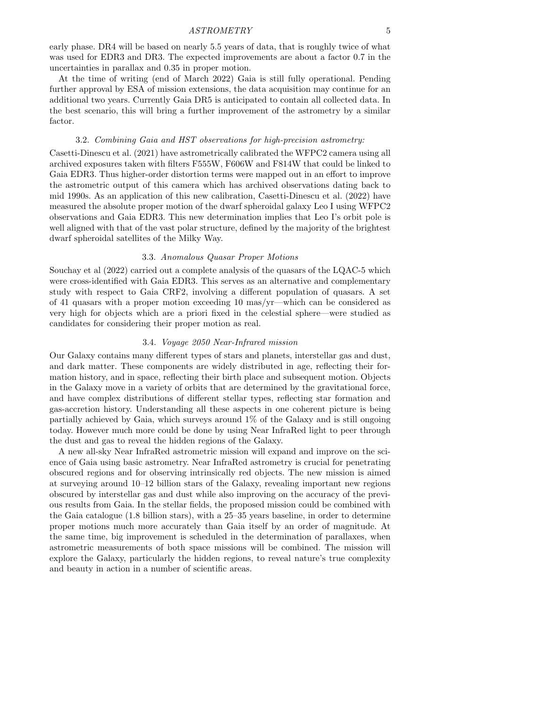early phase. DR4 will be based on nearly 5.5 years of data, that is roughly twice of what was used for EDR3 and DR3. The expected improvements are about a factor 0.7 in the uncertainties in parallax and 0.35 in proper motion.

At the time of writing (end of March 2022) Gaia is still fully operational. Pending further approval by ESA of mission extensions, the data acquisition may continue for an additional two years. Currently Gaia DR5 is anticipated to contain all collected data. In the best scenario, this will bring a further improvement of the astrometry by a similar factor.

#### 3.2. Combining Gaia and HST observations for high-precision astrometry:

Casetti-Dinescu et al. (2021) have astrometrically calibrated the WFPC2 camera using all archived exposures taken with filters F555W, F606W and F814W that could be linked to Gaia EDR3. Thus higher-order distortion terms were mapped out in an effort to improve the astrometric output of this camera which has archived observations dating back to mid 1990s. As an application of this new calibration, Casetti-Dinescu et al. (2022) have measured the absolute proper motion of the dwarf spheroidal galaxy Leo I using WFPC2 observations and Gaia EDR3. This new determination implies that Leo I's orbit pole is well aligned with that of the vast polar structure, defined by the majority of the brightest dwarf spheroidal satellites of the Milky Way.

## 3.3. Anomalous Quasar Proper Motions

Souchay et al (2022) carried out a complete analysis of the quasars of the LQAC-5 which were cross-identified with Gaia EDR3. This serves as an alternative and complementary study with respect to Gaia CRF2, involving a different population of quasars. A set of 41 quasars with a proper motion exceeding 10 mas/yr—which can be considered as very high for objects which are a priori fixed in the celestial sphere—were studied as candidates for considering their proper motion as real.

## 3.4. Voyage 2050 Near-Infrared mission

Our Galaxy contains many different types of stars and planets, interstellar gas and dust, and dark matter. These components are widely distributed in age, reflecting their formation history, and in space, reflecting their birth place and subsequent motion. Objects in the Galaxy move in a variety of orbits that are determined by the gravitational force, and have complex distributions of different stellar types, reflecting star formation and gas-accretion history. Understanding all these aspects in one coherent picture is being partially achieved by Gaia, which surveys around 1% of the Galaxy and is still ongoing today. However much more could be done by using Near InfraRed light to peer through the dust and gas to reveal the hidden regions of the Galaxy.

A new all-sky Near InfraRed astrometric mission will expand and improve on the science of Gaia using basic astrometry. Near InfraRed astrometry is crucial for penetrating obscured regions and for observing intrinsically red objects. The new mission is aimed at surveying around 10–12 billion stars of the Galaxy, revealing important new regions obscured by interstellar gas and dust while also improving on the accuracy of the previous results from Gaia. In the stellar fields, the proposed mission could be combined with the Gaia catalogue (1.8 billion stars), with a 25–35 years baseline, in order to determine proper motions much more accurately than Gaia itself by an order of magnitude. At the same time, big improvement is scheduled in the determination of parallaxes, when astrometric measurements of both space missions will be combined. The mission will explore the Galaxy, particularly the hidden regions, to reveal nature's true complexity and beauty in action in a number of scientific areas.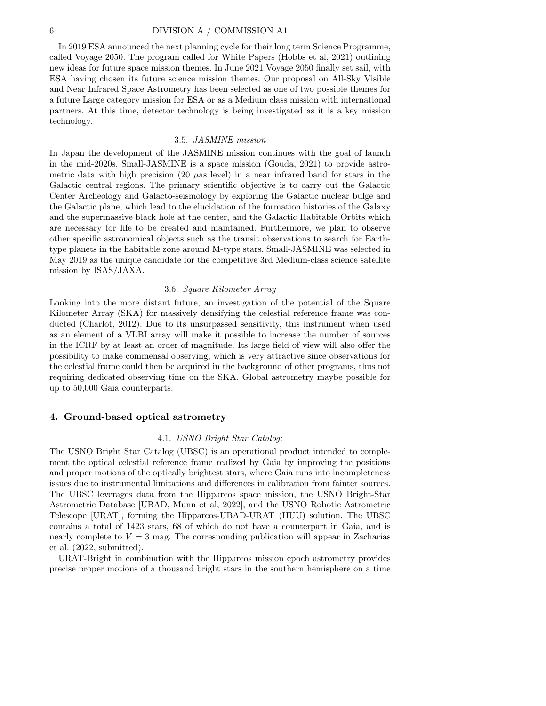## 6 DIVISION A / COMMISSION A1

In 2019 ESA announced the next planning cycle for their long term Science Programme, called Voyage 2050. The program called for White Papers (Hobbs et al, 2021) outlining new ideas for future space mission themes. In June 2021 Voyage 2050 finally set sail, with ESA having chosen its future science mission themes. Our proposal on All-Sky Visible and Near Infrared Space Astrometry has been selected as one of two possible themes for a future Large category mission for ESA or as a Medium class mission with international partners. At this time, detector technology is being investigated as it is a key mission technology.

#### 3.5. JASMINE mission

In Japan the development of the JASMINE mission continues with the goal of launch in the mid-2020s. Small-JASMINE is a space mission (Gouda, 2021) to provide astrometric data with high precision (20  $\mu$ as level) in a near infrared band for stars in the Galactic central regions. The primary scientific objective is to carry out the Galactic Center Archeology and Galacto-seismology by exploring the Galactic nuclear bulge and the Galactic plane, which lead to the elucidation of the formation histories of the Galaxy and the supermassive black hole at the center, and the Galactic Habitable Orbits which are necessary for life to be created and maintained. Furthermore, we plan to observe other specific astronomical objects such as the transit observations to search for Earthtype planets in the habitable zone around M-type stars. Small-JASMINE was selected in May 2019 as the unique candidate for the competitive 3rd Medium-class science satellite mission by ISAS/JAXA.

## 3.6. Square Kilometer Array

Looking into the more distant future, an investigation of the potential of the Square Kilometer Array (SKA) for massively densifying the celestial reference frame was conducted (Charlot, 2012). Due to its unsurpassed sensitivity, this instrument when used as an element of a VLBI array will make it possible to increase the number of sources in the ICRF by at least an order of magnitude. Its large field of view will also offer the possibility to make commensal observing, which is very attractive since observations for the celestial frame could then be acquired in the background of other programs, thus not requiring dedicated observing time on the SKA. Global astrometry maybe possible for up to 50,000 Gaia counterparts.

## 4. Ground-based optical astrometry

#### 4.1. USNO Bright Star Catalog:

The USNO Bright Star Catalog (UBSC) is an operational product intended to complement the optical celestial reference frame realized by Gaia by improving the positions and proper motions of the optically brightest stars, where Gaia runs into incompleteness issues due to instrumental limitations and differences in calibration from fainter sources. The UBSC leverages data from the Hipparcos space mission, the USNO Bright-Star Astrometric Database [UBAD, Munn et al, 2022], and the USNO Robotic Astrometric Telescope [URAT], forming the Hipparcos-UBAD-URAT (HUU) solution. The UBSC contains a total of 1423 stars, 68 of which do not have a counterpart in Gaia, and is nearly complete to  $V = 3$  mag. The corresponding publication will appear in Zacharias et al. (2022, submitted).

URAT-Bright in combination with the Hipparcos mission epoch astrometry provides precise proper motions of a thousand bright stars in the southern hemisphere on a time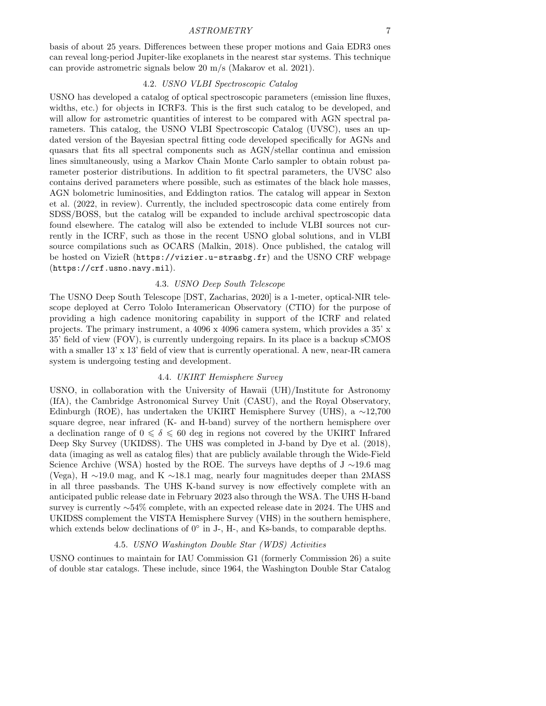## ASTROMETRY 7

basis of about 25 years. Differences between these proper motions and Gaia EDR3 ones can reveal long-period Jupiter-like exoplanets in the nearest star systems. This technique can provide astrometric signals below 20 m/s (Makarov et al. 2021).

## 4.2. USNO VLBI Spectroscopic Catalog

USNO has developed a catalog of optical spectroscopic parameters (emission line fluxes, widths, etc.) for objects in ICRF3. This is the first such catalog to be developed, and will allow for astrometric quantities of interest to be compared with AGN spectral parameters. This catalog, the USNO VLBI Spectroscopic Catalog (UVSC), uses an updated version of the Bayesian spectral fitting code developed specifically for AGNs and quasars that fits all spectral components such as AGN/stellar continua and emission lines simultaneously, using a Markov Chain Monte Carlo sampler to obtain robust parameter posterior distributions. In addition to fit spectral parameters, the UVSC also contains derived parameters where possible, such as estimates of the black hole masses, AGN bolometric luminosities, and Eddington ratios. The catalog will appear in Sexton et al. (2022, in review). Currently, the included spectroscopic data come entirely from SDSS/BOSS, but the catalog will be expanded to include archival spectroscopic data found elsewhere. The catalog will also be extended to include VLBI sources not currently in the ICRF, such as those in the recent USNO global solutions, and in VLBI source compilations such as OCARS (Malkin, 2018). Once published, the catalog will be hosted on VizieR (<https://vizier.u-strasbg.fr>) and the USNO CRF webpage (<https://crf.usno.navy.mil>).

## 4.3. USNO Deep South Telescope

The USNO Deep South Telescope [DST, Zacharias, 2020] is a 1-meter, optical-NIR telescope deployed at Cerro Tololo Interamerican Observatory (CTIO) for the purpose of providing a high cadence monitoring capability in support of the ICRF and related projects. The primary instrument, a 4096 x 4096 camera system, which provides a 35' x 35' field of view (FOV), is currently undergoing repairs. In its place is a backup sCMOS with a smaller  $13' \times 13'$  field of view that is currently operational. A new, near-IR camera system is undergoing testing and development.

## 4.4. UKIRT Hemisphere Survey

USNO, in collaboration with the University of Hawaii (UH)/Institute for Astronomy (IfA), the Cambridge Astronomical Survey Unit (CASU), and the Royal Observatory, Edinburgh (ROE), has undertaken the UKIRT Hemisphere Survey (UHS), a ∼12,700 square degree, near infrared (K- and H-band) survey of the northern hemisphere over a declination range of  $0 \le \delta \le 60$  deg in regions not covered by the UKIRT Infrared Deep Sky Survey (UKIDSS). The UHS was completed in J-band by Dye et al. (2018), data (imaging as well as catalog files) that are publicly available through the Wide-Field Science Archive (WSA) hosted by the ROE. The surveys have depths of J ∼19.6 mag (Vega), H ∼19.0 mag, and K ∼18.1 mag, nearly four magnitudes deeper than 2MASS in all three passbands. The UHS K-band survey is now effectively complete with an anticipated public release date in February 2023 also through the WSA. The UHS H-band survey is currently ∼54% complete, with an expected release date in 2024. The UHS and UKIDSS complement the VISTA Hemisphere Survey (VHS) in the southern hemisphere, which extends below declinations of  $0°$  in J-, H-, and Ks-bands, to comparable depths.

## 4.5. USNO Washington Double Star (WDS) Activities

USNO continues to maintain for IAU Commission G1 (formerly Commission 26) a suite of double star catalogs. These include, since 1964, the Washington Double Star Catalog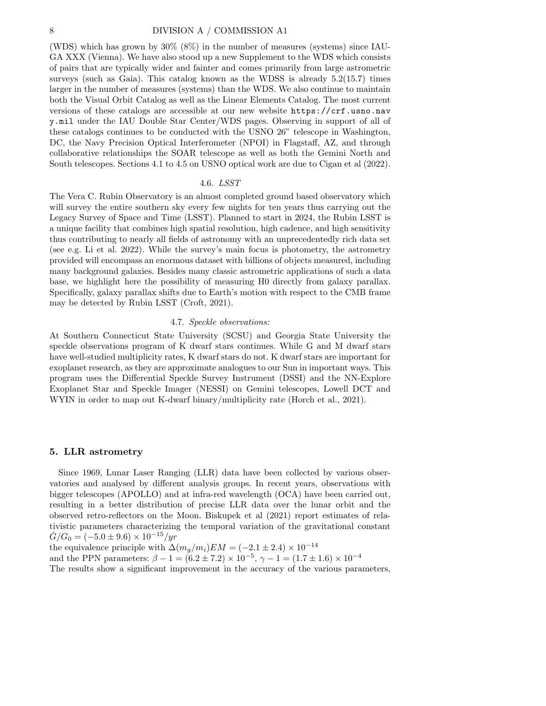(WDS) which has grown by 30% (8%) in the number of measures (systems) since IAU-GA XXX (Vienna). We have also stood up a new Supplement to the WDS which consists of pairs that are typically wider and fainter and comes primarily from large astrometric surveys (such as Gaia). This catalog known as the WDSS is already 5.2(15.7) times larger in the number of measures (systems) than the WDS. We also continue to maintain both the Visual Orbit Catalog as well as the Linear Elements Catalog. The most current versions of these catalogs are accessible at our new website [https://crf.usno.nav](https://crf.usno.navy.mil) [y.mil](https://crf.usno.navy.mil) under the IAU Double Star Center/WDS pages. Observing in support of all of these catalogs continues to be conducted with the USNO 26" telescope in Washington, DC, the Navy Precision Optical Interferometer (NPOI) in Flagstaff, AZ, and through collaborative relationships the SOAR telescope as well as both the Gemini North and South telescopes. Sections 4.1 to 4.5 on USNO optical work are due to Cigan et al (2022).

#### 4.6. LSST

The Vera C. Rubin Observatory is an almost completed ground based observatory which will survey the entire southern sky every few nights for ten years thus carrying out the Legacy Survey of Space and Time (LSST). Planned to start in 2024, the Rubin LSST is a unique facility that combines high spatial resolution, high cadence, and high sensitivity thus contributing to nearly all fields of astronomy with an unprecedentedly rich data set (see e.g. Li et al. 2022). While the survey's main focus is photometry, the astrometry provided will encompass an enormous dataset with billions of objects measured, including many background galaxies. Besides many classic astrometric applications of such a data base, we highlight here the possibility of measuring H0 directly from galaxy parallax. Specifically, galaxy parallax shifts due to Earth's motion with respect to the CMB frame may be detected by Rubin LSST (Croft, 2021).

#### 4.7. Speckle observations:

At Southern Connecticut State University (SCSU) and Georgia State University the speckle observations program of K dwarf stars continues. While G and M dwarf stars have well-studied multiplicity rates, K dwarf stars do not. K dwarf stars are important for exoplanet research, as they are approximate analogues to our Sun in important ways. This program uses the Differential Speckle Survey Instrument (DSSI) and the NN-Explore Exoplanet Star and Speckle Imager (NESSI) on Gemini telescopes, Lowell DCT and WYIN in order to map out K-dwarf binary/multiplicity rate (Horch et al., 2021).

## 5. LLR astrometry

Since 1969, Lunar Laser Ranging (LLR) data have been collected by various observatories and analysed by different analysis groups. In recent years, observations with bigger telescopes (APOLLO) and at infra-red wavelength (OCA) have been carried out, resulting in a better distribution of precise LLR data over the lunar orbit and the observed retro-reflectors on the Moon. Biskupek et al (2021) report estimates of relativistic parameters characterizing the temporal variation of the gravitational constant  $\dot{G}/G_0 = (-5.0 \pm 9.6) \times 10^{-15}/yr$ 

the equivalence principle with  $\Delta(m_q/m_i)EM = (-2.1 \pm 2.4) \times 10^{-14}$ 

and the PPN parameters:  $\beta - 1 = (6.2 \pm 7.2) \times 10^{-5}$ ,  $\gamma - 1 = (1.7 \pm 1.6) \times 10^{-4}$ 

The results show a significant improvement in the accuracy of the various parameters,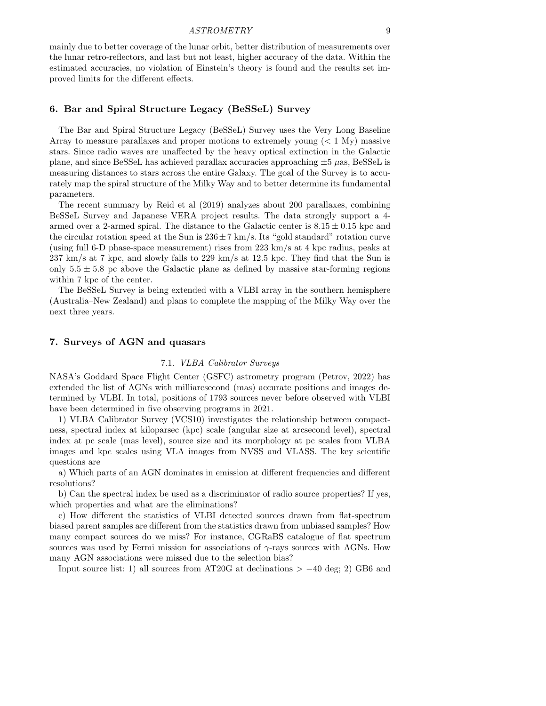mainly due to better coverage of the lunar orbit, better distribution of measurements over the lunar retro-reflectors, and last but not least, higher accuracy of the data. Within the estimated accuracies, no violation of Einstein's theory is found and the results set improved limits for the different effects.

## 6. Bar and Spiral Structure Legacy (BeSSeL) Survey

The Bar and Spiral Structure Legacy (BeSSeL) Survey uses the Very Long Baseline Array to measure parallaxes and proper motions to extremely young  $(< 1 \text{ My})$  massive stars. Since radio waves are unaffected by the heavy optical extinction in the Galactic plane, and since BeSSeL has achieved parallax accuracies approaching  $\pm 5 \ \mu$ as, BeSSeL is measuring distances to stars across the entire Galaxy. The goal of the Survey is to accurately map the spiral structure of the Milky Way and to better determine its fundamental parameters.

The recent summary by Reid et al (2019) analyzes about 200 parallaxes, combining BeSSeL Survey and Japanese VERA project results. The data strongly support a 4 armed over a 2-armed spiral. The distance to the Galactic center is  $8.15 \pm 0.15$  kpc and the circular rotation speed at the Sun is  $236 \pm 7$  km/s. Its "gold standard" rotation curve (using full 6-D phase-space measurement) rises from 223 km/s at 4 kpc radius, peaks at 237 km/s at 7 kpc, and slowly falls to 229 km/s at 12.5 kpc. They find that the Sun is only  $5.5 \pm 5.8$  pc above the Galactic plane as defined by massive star-forming regions within 7 kpc of the center.

The BeSSeL Survey is being extended with a VLBI array in the southern hemisphere (Australia–New Zealand) and plans to complete the mapping of the Milky Way over the next three years.

## 7. Surveys of AGN and quasars

## 7.1. VLBA Calibrator Surveys

NASA's Goddard Space Flight Center (GSFC) astrometry program (Petrov, 2022) has extended the list of AGNs with milliarcsecond (mas) accurate positions and images determined by VLBI. In total, positions of 1793 sources never before observed with VLBI have been determined in five observing programs in 2021.

1) VLBA Calibrator Survey (VCS10) investigates the relationship between compactness, spectral index at kiloparsec (kpc) scale (angular size at arcsecond level), spectral index at pc scale (mas level), source size and its morphology at pc scales from VLBA images and kpc scales using VLA images from NVSS and VLASS. The key scientific questions are

a) Which parts of an AGN dominates in emission at different frequencies and different resolutions?

b) Can the spectral index be used as a discriminator of radio source properties? If yes, which properties and what are the eliminations?

c) How different the statistics of VLBI detected sources drawn from flat-spectrum biased parent samples are different from the statistics drawn from unbiased samples? How many compact sources do we miss? For instance, CGRaBS catalogue of flat spectrum sources was used by Fermi mission for associations of  $\gamma$ -rays sources with AGNs. How many AGN associations were missed due to the selection bias?

Input source list: 1) all sources from AT20G at declinations  $> -40$  deg; 2) GB6 and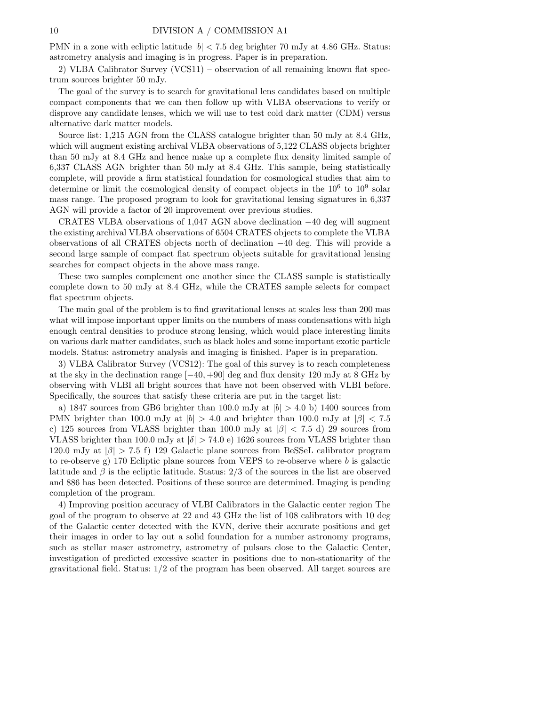PMN in a zone with ecliptic latitude  $|b| < 7.5$  deg brighter 70 mJy at 4.86 GHz. Status: astrometry analysis and imaging is in progress. Paper is in preparation.

2) VLBA Calibrator Survey (VCS11) – observation of all remaining known flat spectrum sources brighter 50 mJy.

The goal of the survey is to search for gravitational lens candidates based on multiple compact components that we can then follow up with VLBA observations to verify or disprove any candidate lenses, which we will use to test cold dark matter (CDM) versus alternative dark matter models.

Source list: 1,215 AGN from the CLASS catalogue brighter than 50 mJy at 8.4 GHz, which will augment existing archival VLBA observations of 5,122 CLASS objects brighter than 50 mJy at 8.4 GHz and hence make up a complete flux density limited sample of 6,337 CLASS AGN brighter than 50 mJy at 8.4 GHz. This sample, being statistically complete, will provide a firm statistical foundation for cosmological studies that aim to determine or limit the cosmological density of compact objects in the  $10^6$  to  $10^9$  solar mass range. The proposed program to look for gravitational lensing signatures in 6,337 AGN will provide a factor of 20 improvement over previous studies.

CRATES VLBA observations of 1,047 AGN above declination −40 deg will augment the existing archival VLBA observations of 6504 CRATES objects to complete the VLBA observations of all CRATES objects north of declination −40 deg. This will provide a second large sample of compact flat spectrum objects suitable for gravitational lensing searches for compact objects in the above mass range.

These two samples complement one another since the CLASS sample is statistically complete down to 50 mJy at 8.4 GHz, while the CRATES sample selects for compact flat spectrum objects.

The main goal of the problem is to find gravitational lenses at scales less than 200 mas what will impose important upper limits on the numbers of mass condensations with high enough central densities to produce strong lensing, which would place interesting limits on various dark matter candidates, such as black holes and some important exotic particle models. Status: astrometry analysis and imaging is finished. Paper is in preparation.

3) VLBA Calibrator Survey (VCS12): The goal of this survey is to reach completeness at the sky in the declination range [−40, +90] deg and flux density 120 mJy at 8 GHz by observing with VLBI all bright sources that have not been observed with VLBI before. Specifically, the sources that satisfy these criteria are put in the target list:

a) 1847 sources from GB6 brighter than 100.0 mJy at  $|b| > 4.0$  b) 1400 sources from PMN brighter than 100.0 mJy at  $|b| > 4.0$  and brighter than 100.0 mJy at  $|\beta| < 7.5$ c) 125 sources from VLASS brighter than 100.0 mJy at  $|\beta|$  < 7.5 d) 29 sources from VLASS brighter than 100.0 mJy at  $|\delta| > 74.0$  e) 1626 sources from VLASS brighter than 120.0 mJy at  $|\beta| > 7.5$  f) 129 Galactic plane sources from BeSSeL calibrator program to re-observe g) 170 Ecliptic plane sources from VEPS to re-observe where  $b$  is galactic latitude and  $\beta$  is the ecliptic latitude. Status: 2/3 of the sources in the list are observed and 886 has been detected. Positions of these source are determined. Imaging is pending completion of the program.

4) Improving position accuracy of VLBI Calibrators in the Galactic center region The goal of the program to observe at 22 and 43 GHz the list of 108 calibrators with 10 deg of the Galactic center detected with the KVN, derive their accurate positions and get their images in order to lay out a solid foundation for a number astronomy programs, such as stellar maser astrometry, astrometry of pulsars close to the Galactic Center, investigation of predicted excessive scatter in positions due to non-stationarity of the gravitational field. Status: 1/2 of the program has been observed. All target sources are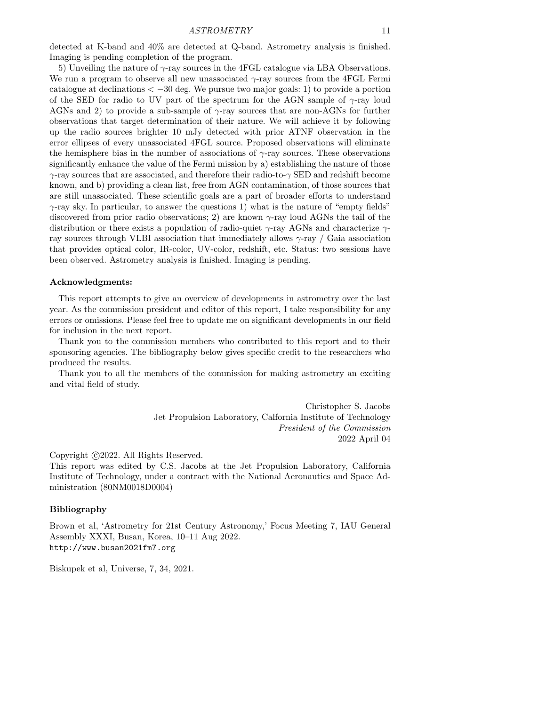detected at K-band and 40% are detected at Q-band. Astrometry analysis is finished. Imaging is pending completion of the program.

5) Unveiling the nature of  $\gamma$ -ray sources in the 4FGL catalogue via LBA Observations. We run a program to observe all new unassociated  $\gamma$ -ray sources from the 4FGL Fermi catalogue at declinations  $\langle -30 \text{ deg. We pursue two major goals: 1} \rangle$  to provide a portion of the SED for radio to UV part of the spectrum for the AGN sample of  $\gamma$ -ray loud AGNs and 2) to provide a sub-sample of  $\gamma$ -ray sources that are non-AGNs for further observations that target determination of their nature. We will achieve it by following up the radio sources brighter 10 mJy detected with prior ATNF observation in the error ellipses of every unassociated 4FGL source. Proposed observations will eliminate the hemisphere bias in the number of associations of  $\gamma$ -ray sources. These observations significantly enhance the value of the Fermi mission by a) establishing the nature of those  $\gamma$ -ray sources that are associated, and therefore their radio-to- $\gamma$  SED and redshift become known, and b) providing a clean list, free from AGN contamination, of those sources that are still unassociated. These scientific goals are a part of broader efforts to understand  $\gamma$ -ray sky. In particular, to answer the questions 1) what is the nature of "empty fields" discovered from prior radio observations; 2) are known  $\gamma$ -ray loud AGNs the tail of the distribution or there exists a population of radio-quiet  $\gamma$ -ray AGNs and characterize  $\gamma$ ray sources through VLBI association that immediately allows  $\gamma$ -ray / Gaia association that provides optical color, IR-color, UV-color, redshift, etc. Status: two sessions have been observed. Astrometry analysis is finished. Imaging is pending.

#### Acknowledgments:

This report attempts to give an overview of developments in astrometry over the last year. As the commission president and editor of this report, I take responsibility for any errors or omissions. Please feel free to update me on significant developments in our field for inclusion in the next report.

Thank you to the commission members who contributed to this report and to their sponsoring agencies. The bibliography below gives specific credit to the researchers who produced the results.

Thank you to all the members of the commission for making astrometry an exciting and vital field of study.

> Christopher S. Jacobs Jet Propulsion Laboratory, Calfornia Institute of Technology President of the Commission 2022 April 04

Copyright ©2022. All Rights Reserved.

This report was edited by C.S. Jacobs at the Jet Propulsion Laboratory, California Institute of Technology, under a contract with the National Aeronautics and Space Administration (80NM0018D0004)

## Bibliography

Brown et al, 'Astrometry for 21st Century Astronomy,' Focus Meeting 7, IAU General Assembly XXXI, Busan, Korea, 10–11 Aug 2022. <http://www.busan2021fm7.org>

Biskupek et al, Universe, 7, 34, 2021.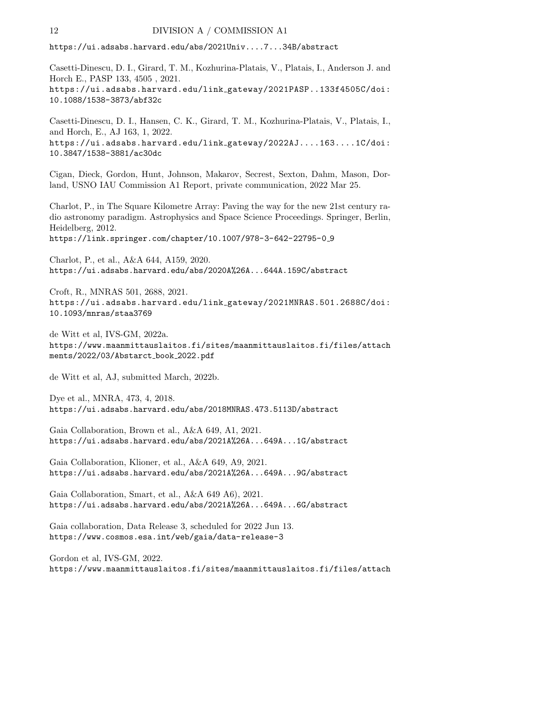<https://ui.adsabs.harvard.edu/abs/2021Univ....7...34B/abstract>

Casetti-Dinescu, D. I., Girard, T. M., Kozhurina-Platais, V., Platais, I., Anderson J. and Horch E., PASP 133, 4505 , 2021. [https://ui.adsabs.harvard.edu/link](https://ui.adsabs.harvard.edu/link_gateway/2021PASP..133f4505C/doi:10.1088/1538-3873/abf32c) gateway/2021PASP..133f4505C/doi: [10.1088/1538-3873/abf32c](https://ui.adsabs.harvard.edu/link_gateway/2021PASP..133f4505C/doi:10.1088/1538-3873/abf32c)

Casetti-Dinescu, D. I., Hansen, C. K., Girard, T. M., Kozhurina-Platais, V., Platais, I., and Horch, E., AJ 163, 1, 2022. [https://ui.adsabs.harvard.edu/link](https://ui.adsabs.harvard.edu/link_gateway/2022AJ....163....1C/doi:10.3847/1538-3881/ac30dc) gateway/2022AJ....163....1C/doi: [10.3847/1538-3881/ac30dc](https://ui.adsabs.harvard.edu/link_gateway/2022AJ....163....1C/doi:10.3847/1538-3881/ac30dc)

Cigan, Dieck, Gordon, Hunt, Johnson, Makarov, Secrest, Sexton, Dahm, Mason, Dorland, USNO IAU Commission A1 Report, private communication, 2022 Mar 25.

Charlot, P., in The Square Kilometre Array: Paving the way for the new 21st century radio astronomy paradigm. Astrophysics and Space Science Proceedings. Springer, Berlin, Heidelberg, 2012.

[https://link.springer.com/chapter/10.1007/978-3-642-22795-0](https://link.springer.com/chapter/10.1007/978-3-642-22795-0_9)\_9

Charlot, P., et al., A&A 644, A159, 2020. <https://ui.adsabs.harvard.edu/abs/2020A%26A...644A.159C/abstract>

Croft, R., MNRAS 501, 2688, 2021. [https://ui.adsabs.harvard.edu/link](https://ui.adsabs.harvard.edu/link_gateway/2021MNRAS.501.2688C/doi:10.1093/mnras/staa3769) gateway/2021MNRAS.501.2688C/doi: [10.1093/mnras/staa3769](https://ui.adsabs.harvard.edu/link_gateway/2021MNRAS.501.2688C/doi:10.1093/mnras/staa3769)

de Witt et al, IVS-GM, 2022a. [https://www.maanmittauslaitos.fi/sites/maanmittauslaitos.fi/files/attach](https://www.maanmittauslaitos.fi/sites/maanmittauslaitos.fi/files/attachments/2022/03/Abstarct_book_2022.pdf) [ments/2022/03/Abstarct](https://www.maanmittauslaitos.fi/sites/maanmittauslaitos.fi/files/attachments/2022/03/Abstarct_book_2022.pdf) book 2022.pdf

de Witt et al, AJ, submitted March, 2022b.

Dye et al., MNRA, 473, 4, 2018. <https://ui.adsabs.harvard.edu/abs/2018MNRAS.473.5113D/abstract>

Gaia Collaboration, Brown et al., A&A 649, A1, 2021. <https://ui.adsabs.harvard.edu/abs/2021A%26A...649A...1G/abstract>

Gaia Collaboration, Klioner, et al., A&A 649, A9, 2021. <https://ui.adsabs.harvard.edu/abs/2021A%26A...649A...9G/abstract>

Gaia Collaboration, Smart, et al., A&A 649 A6), 2021. <https://ui.adsabs.harvard.edu/abs/2021A%26A...649A...6G/abstract>

Gaia collaboration, Data Release 3, scheduled for 2022 Jun 13. <https://www.cosmos.esa.int/web/gaia/data-release-3>

Gordon et al, IVS-GM, 2022. [https://www.maanmittauslaitos.fi/sites/maanmittauslaitos.fi/files/attach](https://www.maanmittauslaitos.fi/sites/maanmittauslaitos.fi/files/attachments/2022/03/Abstarct_book_2022.pdf)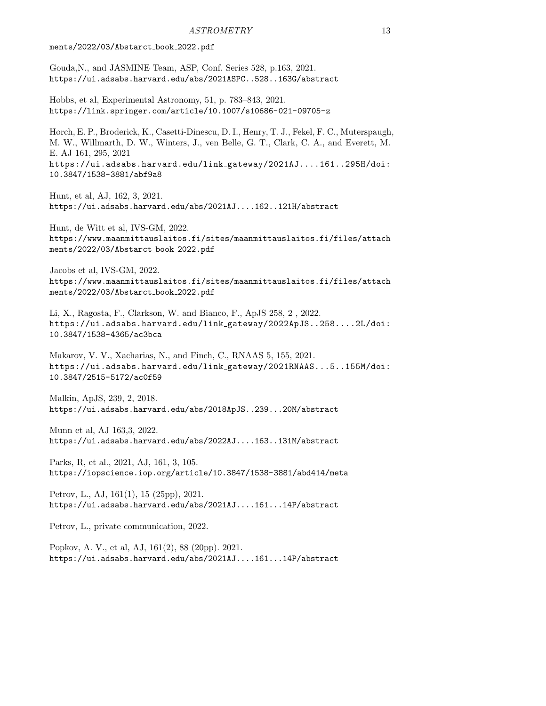#### [ments/2022/03/Abstarct](https://www.maanmittauslaitos.fi/sites/maanmittauslaitos.fi/files/attachments/2022/03/Abstarct_book_2022.pdf) book 2022.pdf

Gouda,N., and JASMINE Team, ASP, Conf. Series 528, p.163, 2021. <https://ui.adsabs.harvard.edu/abs/2021ASPC..528..163G/abstract>

Hobbs, et al, Experimental Astronomy, 51, p. 783–843, 2021. <https://link.springer.com/article/10.1007/s10686-021-09705-z>

Horch, E. P., Broderick, K., Casetti-Dinescu, D. I., Henry, T. J., Fekel, F. C., Muterspaugh, M. W., Willmarth, D. W., Winters, J., ven Belle, G. T., Clark, C. A., and Everett, M. E. AJ 161, 295, 2021 [https://ui.adsabs.harvard.edu/link](https://ui.adsabs.harvard.edu/link_gateway/2021AJ....161..295H/doi:10.3847/1538-3881/abf9a8) gateway/2021AJ....161..295H/doi: [10.3847/1538-3881/abf9a8](https://ui.adsabs.harvard.edu/link_gateway/2021AJ....161..295H/doi:10.3847/1538-3881/abf9a8)

Hunt, et al, AJ, 162, 3, 2021. <https://ui.adsabs.harvard.edu/abs/2021AJ....162..121H/abstract>

Hunt, de Witt et al, IVS-GM, 2022. [https://www.maanmittauslaitos.fi/sites/maanmittauslaitos.fi/files/attach](https://www.maanmittauslaitos.fi/sites/maanmittauslaitos.fi/files/attachments/2022/03/Abstarct_book_2022.pdf) [ments/2022/03/Abstarct](https://www.maanmittauslaitos.fi/sites/maanmittauslaitos.fi/files/attachments/2022/03/Abstarct_book_2022.pdf) book 2022.pdf

Jacobs et al, IVS-GM, 2022. [https://www.maanmittauslaitos.fi/sites/maanmittauslaitos.fi/files/attach](https://www.maanmittauslaitos.fi/sites/maanmittauslaitos.fi/files/attachments/2022/03/Abstarct_book_2022.pdf) [ments/2022/03/Abstarct](https://www.maanmittauslaitos.fi/sites/maanmittauslaitos.fi/files/attachments/2022/03/Abstarct_book_2022.pdf) book 2022.pdf

Li, X., Ragosta, F., Clarkson, W. and Bianco, F., ApJS 258, 2 , 2022. [https://ui.adsabs.harvard.edu/link](https://ui.adsabs.harvard.edu/link_gateway/2022ApJS..258....2L/doi:10.3847/1538-4365/ac3bca) gateway/2022ApJS..258....2L/doi: [10.3847/1538-4365/ac3bca](https://ui.adsabs.harvard.edu/link_gateway/2022ApJS..258....2L/doi:10.3847/1538-4365/ac3bca)

Makarov, V. V., Xacharias, N., and Finch, C., RNAAS 5, 155, 2021. [https://ui.adsabs.harvard.edu/link](https://ui.adsabs.harvard.edu/link_gateway/2021RNAAS...5..155M/doi:10.3847/2515-5172/ac0f59) gateway/2021RNAAS...5..155M/doi: [10.3847/2515-5172/ac0f59](https://ui.adsabs.harvard.edu/link_gateway/2021RNAAS...5..155M/doi:10.3847/2515-5172/ac0f59)

Malkin, ApJS, 239, 2, 2018. <https://ui.adsabs.harvard.edu/abs/2018ApJS..239...20M/abstract>

Munn et al, AJ 163,3, 2022. <https://ui.adsabs.harvard.edu/abs/2022AJ....163..131M/abstract>

Parks, R, et al., 2021, AJ, 161, 3, 105. <https://iopscience.iop.org/article/10.3847/1538-3881/abd414/meta>

Petrov, L., AJ, 161(1), 15 (25pp), 2021. <https://ui.adsabs.harvard.edu/abs/2021AJ....161...14P/abstract>

Petrov, L., private communication, 2022.

Popkov, A. V., et al, AJ, 161(2), 88 (20pp). 2021. <https://ui.adsabs.harvard.edu/abs/2021AJ....161...14P/abstract>